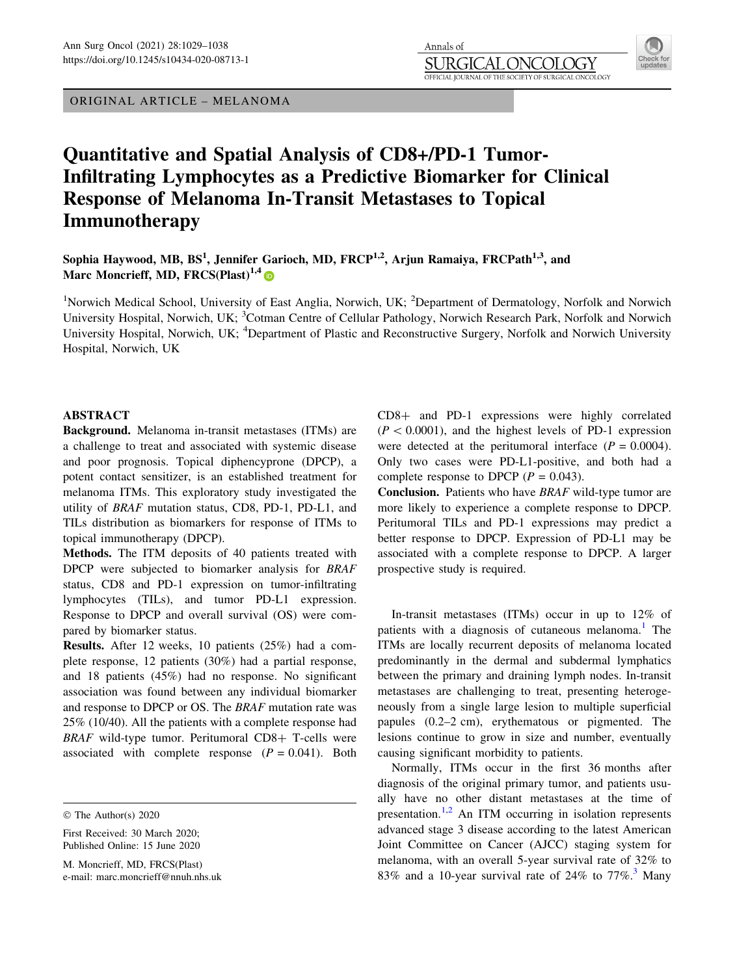ORIGINAL ARTICLE – MELANOMA

Annals of SURGIO JOLOGY OFFICIAL JOURNAL OF THE SOCIETY OF SURGICAL ONCOLOGY

# Quantitative and Spatial Analysis of CD8+/PD-1 Tumor-Infiltrating Lymphocytes as a Predictive Biomarker for Clinical Response of Melanoma In-Transit Metastases to Topical Immunotherapy

Sophia Haywood, MB,  $BS^1$ , Jennifer Garioch, MD, FRCP<sup>1,2</sup>, Arjun Ramaiya, FRCPath<sup>1,3</sup>, and Marc Moncrieff, MD, FRCS(Plast)<sup>1,4</sup>

<sup>1</sup>Norwich Medical School, University of East Anglia, Norwich, UK; <sup>2</sup>Department of Dermatology, Norfolk and Norwich University Hospital, Norwich, UK; <sup>3</sup>Cotman Centre of Cellular Pathology, Norwich Research Park, Norfolk and Norwich University Hospital, Norwich, UK; <sup>4</sup>Department of Plastic and Reconstructive Surgery, Norfolk and Norwich University Hospital, Norwich, UK

# ABSTRACT

Background. Melanoma in-transit metastases (ITMs) are a challenge to treat and associated with systemic disease and poor prognosis. Topical diphencyprone (DPCP), a potent contact sensitizer, is an established treatment for melanoma ITMs. This exploratory study investigated the utility of BRAF mutation status, CD8, PD-1, PD-L1, and TILs distribution as biomarkers for response of ITMs to topical immunotherapy (DPCP).

Methods. The ITM deposits of 40 patients treated with DPCP were subjected to biomarker analysis for BRAF status, CD8 and PD-1 expression on tumor-infiltrating lymphocytes (TILs), and tumor PD-L1 expression. Response to DPCP and overall survival (OS) were compared by biomarker status.

Results. After 12 weeks, 10 patients (25%) had a complete response, 12 patients (30%) had a partial response, and 18 patients (45%) had no response. No significant association was found between any individual biomarker and response to DPCP or OS. The BRAF mutation rate was 25% (10/40). All the patients with a complete response had  $BRAF$  wild-type tumor. Peritumoral  $CD8+$  T-cells were associated with complete response  $(P = 0.041)$ . Both CD8+ and PD-1 expressions were highly correlated  $(P < 0.0001)$ , and the highest levels of PD-1 expression were detected at the peritumoral interface  $(P = 0.0004)$ . Only two cases were PD-L1-positive, and both had a complete response to DPCP ( $P = 0.043$ ).

Conclusion. Patients who have BRAF wild-type tumor are more likely to experience a complete response to DPCP. Peritumoral TILs and PD-1 expressions may predict a better response to DPCP. Expression of PD-L1 may be associated with a complete response to DPCP. A larger prospective study is required.

In-transit metastases (ITMs) occur in up to 12% of patients with a diagnosis of cutaneous melanoma.<sup>[1](#page-8-0)</sup> The ITMs are locally recurrent deposits of melanoma located predominantly in the dermal and subdermal lymphatics between the primary and draining lymph nodes. In-transit metastases are challenging to treat, presenting heterogeneously from a single large lesion to multiple superficial papules (0.2–2 cm), erythematous or pigmented. The lesions continue to grow in size and number, eventually causing significant morbidity to patients.

Normally, ITMs occur in the first 36 months after diagnosis of the original primary tumor, and patients usually have no other distant metastases at the time of presentation.<sup>[1,2](#page-8-0)</sup> An ITM occurring in isolation represents advanced stage 3 disease according to the latest American Joint Committee on Cancer (AJCC) staging system for melanoma, with an overall 5-year survival rate of 32% to 83% and a 10-year survival rate of 24% to  $77\%$ .<sup>3</sup> Many

<sup>©</sup> The Author(s) 2020

First Received: 30 March 2020; Published Online: 15 June 2020

M. Moncrieff, MD, FRCS(Plast) e-mail: marc.moncrieff@nnuh.nhs.uk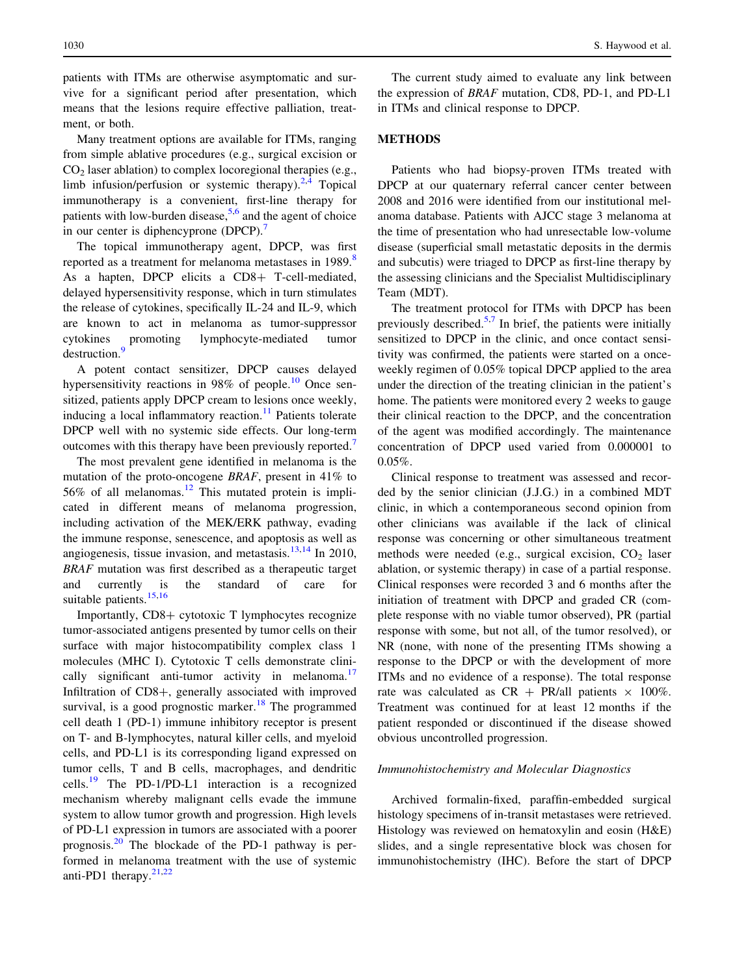patients with ITMs are otherwise asymptomatic and survive for a significant period after presentation, which means that the lesions require effective palliation, treatment, or both.

Many treatment options are available for ITMs, ranging from simple ablative procedures (e.g., surgical excision or  $CO<sub>2</sub>$  laser ablation) to complex locoregional therapies (e.g., limb infusion/perfusion or systemic therapy). $2.4$  Topical immunotherapy is a convenient, first-line therapy for patients with low-burden disease,  $5.6$  and the agent of choice in our center is diphencyprone (DPCP).<sup>[7](#page-8-0)</sup>

The topical immunotherapy agent, DPCP, was first reported as a treatment for melanoma metastases in 19[8](#page-8-0)9.<sup>8</sup> As a hapten, DPCP elicits a CD8+ T-cell-mediated, delayed hypersensitivity response, which in turn stimulates the release of cytokines, specifically IL-24 and IL-9, which are known to act in melanoma as tumor-suppressor cytokines promoting lymphocyte-mediated tumor destruction.<sup>[9](#page-8-0)</sup>

A potent contact sensitizer, DPCP causes delayed hypersensitivity reactions in 98% of people.<sup>[10](#page-8-0)</sup> Once sensitized, patients apply DPCP cream to lesions once weekly, inducing a local inflammatory reaction.<sup>[11](#page-8-0)</sup> Patients tolerate DPCP well with no systemic side effects. Our long-term outcomes with this therapy have been previously reported.<sup>[7](#page-8-0)</sup>

The most prevalent gene identified in melanoma is the mutation of the proto-oncogene BRAF, present in 41% to 56% of all melanomas.<sup>[12](#page-8-0)</sup> This mutated protein is implicated in different means of melanoma progression, including activation of the MEK/ERK pathway, evading the immune response, senescence, and apoptosis as well as angiogenesis, tissue invasion, and metastasis. $13,14$  In 2010, BRAF mutation was first described as a therapeutic target and currently is the standard of care for suitable patients.<sup>[15,16](#page-8-0)</sup>

Importantly,  $CD8+$  cytotoxic T lymphocytes recognize tumor-associated antigens presented by tumor cells on their surface with major histocompatibility complex class 1 molecules (MHC I). Cytotoxic T cells demonstrate clini-cally significant anti-tumor activity in melanoma.<sup>[17](#page-8-0)</sup> Infiltration of  $CD8+$ , generally associated with improved survival, is a good prognostic marker.<sup>[18](#page-8-0)</sup> The programmed cell death 1 (PD-1) immune inhibitory receptor is present on T- and B-lymphocytes, natural killer cells, and myeloid cells, and PD-L1 is its corresponding ligand expressed on tumor cells, T and B cells, macrophages, and dendritic cells.<sup>[19](#page-8-0)</sup> The PD-1/PD-L1 interaction is a recognized mechanism whereby malignant cells evade the immune system to allow tumor growth and progression. High levels of PD-L1 expression in tumors are associated with a poorer prognosis. $^{20}$  $^{20}$  $^{20}$  The blockade of the PD-1 pathway is performed in melanoma treatment with the use of systemic anti-PD1 therapy. $21,22$  $21,22$ 

The current study aimed to evaluate any link between the expression of BRAF mutation, CD8, PD-1, and PD-L1 in ITMs and clinical response to DPCP.

## METHODS

Patients who had biopsy-proven ITMs treated with DPCP at our quaternary referral cancer center between 2008 and 2016 were identified from our institutional melanoma database. Patients with AJCC stage 3 melanoma at the time of presentation who had unresectable low-volume disease (superficial small metastatic deposits in the dermis and subcutis) were triaged to DPCP as first-line therapy by the assessing clinicians and the Specialist Multidisciplinary Team (MDT).

The treatment protocol for ITMs with DPCP has been previously described.<sup>[5](#page-8-0),[7](#page-8-0)</sup> In brief, the patients were initially sensitized to DPCP in the clinic, and once contact sensitivity was confirmed, the patients were started on a onceweekly regimen of 0.05% topical DPCP applied to the area under the direction of the treating clinician in the patient's home. The patients were monitored every 2 weeks to gauge their clinical reaction to the DPCP, and the concentration of the agent was modified accordingly. The maintenance concentration of DPCP used varied from 0.000001 to 0.05%.

Clinical response to treatment was assessed and recorded by the senior clinician (J.J.G.) in a combined MDT clinic, in which a contemporaneous second opinion from other clinicians was available if the lack of clinical response was concerning or other simultaneous treatment methods were needed (e.g., surgical excision,  $CO<sub>2</sub>$  laser ablation, or systemic therapy) in case of a partial response. Clinical responses were recorded 3 and 6 months after the initiation of treatment with DPCP and graded CR (complete response with no viable tumor observed), PR (partial response with some, but not all, of the tumor resolved), or NR (none, with none of the presenting ITMs showing a response to the DPCP or with the development of more ITMs and no evidence of a response). The total response rate was calculated as  $CR + PR/all$  patients  $\times 100\%$ . Treatment was continued for at least 12 months if the patient responded or discontinued if the disease showed obvious uncontrolled progression.

#### Immunohistochemistry and Molecular Diagnostics

Archived formalin-fixed, paraffin-embedded surgical histology specimens of in-transit metastases were retrieved. Histology was reviewed on hematoxylin and eosin (H&E) slides, and a single representative block was chosen for immunohistochemistry (IHC). Before the start of DPCP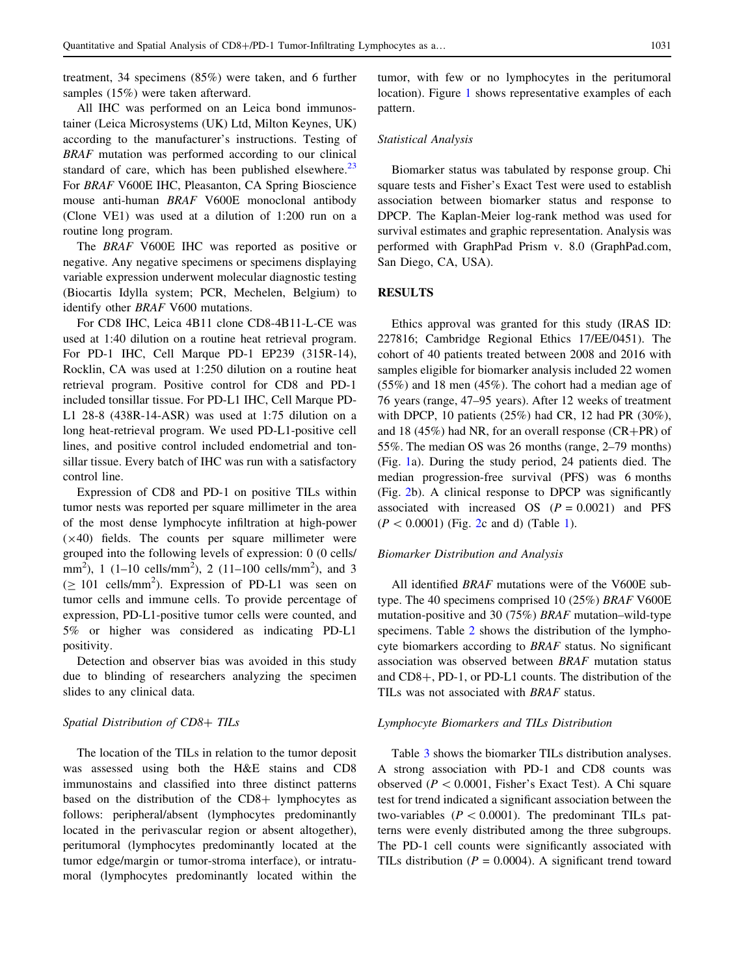treatment, 34 specimens (85%) were taken, and 6 further samples (15%) were taken afterward.

All IHC was performed on an Leica bond immunostainer (Leica Microsystems (UK) Ltd, Milton Keynes, UK) according to the manufacturer's instructions. Testing of BRAF mutation was performed according to our clinical standard of care, which has been published elsewhere. $^{23}$  $^{23}$  $^{23}$ For BRAF V600E IHC, Pleasanton, CA Spring Bioscience mouse anti-human BRAF V600E monoclonal antibody (Clone VE1) was used at a dilution of 1:200 run on a routine long program.

The BRAF V600E IHC was reported as positive or negative. Any negative specimens or specimens displaying variable expression underwent molecular diagnostic testing (Biocartis Idylla system; PCR, Mechelen, Belgium) to identify other BRAF V600 mutations.

For CD8 IHC, Leica 4B11 clone CD8-4B11-L-CE was used at 1:40 dilution on a routine heat retrieval program. For PD-1 IHC, Cell Marque PD-1 EP239 (315R-14), Rocklin, CA was used at 1:250 dilution on a routine heat retrieval program. Positive control for CD8 and PD-1 included tonsillar tissue. For PD-L1 IHC, Cell Marque PD-L1 28-8 (438R-14-ASR) was used at 1:75 dilution on a long heat-retrieval program. We used PD-L1-positive cell lines, and positive control included endometrial and tonsillar tissue. Every batch of IHC was run with a satisfactory control line.

Expression of CD8 and PD-1 on positive TILs within tumor nests was reported per square millimeter in the area of the most dense lymphocyte infiltration at high-power  $(x40)$  fields. The counts per square millimeter were grouped into the following levels of expression: 0 (0 cells/ mm<sup>2</sup>), 1 (1–10 cells/mm<sup>2</sup>), 2 (11–100 cells/mm<sup>2</sup>), and 3  $(\geq 101 \text{ cells/mm}^2)$ . Expression of PD-L1 was seen on tumor cells and immune cells. To provide percentage of expression, PD-L1-positive tumor cells were counted, and 5% or higher was considered as indicating PD-L1 positivity.

Detection and observer bias was avoided in this study due to blinding of researchers analyzing the specimen slides to any clinical data.

#### Spatial Distribution of CD8+ TILs

The location of the TILs in relation to the tumor deposit was assessed using both the H&E stains and CD8 immunostains and classified into three distinct patterns based on the distribution of the  $CD8+$  lymphocytes as follows: peripheral/absent (lymphocytes predominantly located in the perivascular region or absent altogether), peritumoral (lymphocytes predominantly located at the tumor edge/margin or tumor-stroma interface), or intratumoral (lymphocytes predominantly located within the tumor, with few or no lymphocytes in the peritumoral location). Figure [1](#page-3-0) shows representative examples of each pattern.

# Statistical Analysis

Biomarker status was tabulated by response group. Chi square tests and Fisher's Exact Test were used to establish association between biomarker status and response to DPCP. The Kaplan-Meier log-rank method was used for survival estimates and graphic representation. Analysis was performed with GraphPad Prism v. 8.0 (GraphPad.com, San Diego, CA, USA).

## RESULTS

Ethics approval was granted for this study (IRAS ID: 227816; Cambridge Regional Ethics 17/EE/0451). The cohort of 40 patients treated between 2008 and 2016 with samples eligible for biomarker analysis included 22 women (55%) and 18 men (45%). The cohort had a median age of 76 years (range, 47–95 years). After 12 weeks of treatment with DPCP, 10 patients (25%) had CR, 12 had PR (30%), and 18 (45%) had NR, for an overall response  $(CR+PR)$  of 55%. The median OS was 26 months (range, 2–79 months) (Fig. [1a](#page-3-0)). During the study period, 24 patients died. The median progression-free survival (PFS) was 6 months (Fig. [2b](#page-4-0)). A clinical response to DPCP was significantly associated with increased OS  $(P = 0.0021)$  and PFS  $(P < 0.0001)$  $(P < 0.0001)$  $(P < 0.0001)$  (Fig. [2](#page-4-0)c and d) (Table 1).

#### Biomarker Distribution and Analysis

All identified BRAF mutations were of the V600E subtype. The 40 specimens comprised 10 (25%) BRAF V600E mutation-positive and 30 (75%) BRAF mutation–wild-type specimens. Table [2](#page-5-0) shows the distribution of the lymphocyte biomarkers according to BRAF status. No significant association was observed between BRAF mutation status and  $CD8+$ , PD-1, or PD-L1 counts. The distribution of the TILs was not associated with BRAF status.

#### Lymphocyte Biomarkers and TILs Distribution

Table [3](#page-5-0) shows the biomarker TILs distribution analyses. A strong association with PD-1 and CD8 counts was observed ( $P < 0.0001$ , Fisher's Exact Test). A Chi square test for trend indicated a significant association between the two-variables ( $P < 0.0001$ ). The predominant TILs patterns were evenly distributed among the three subgroups. The PD-1 cell counts were significantly associated with TILs distribution ( $P = 0.0004$ ). A significant trend toward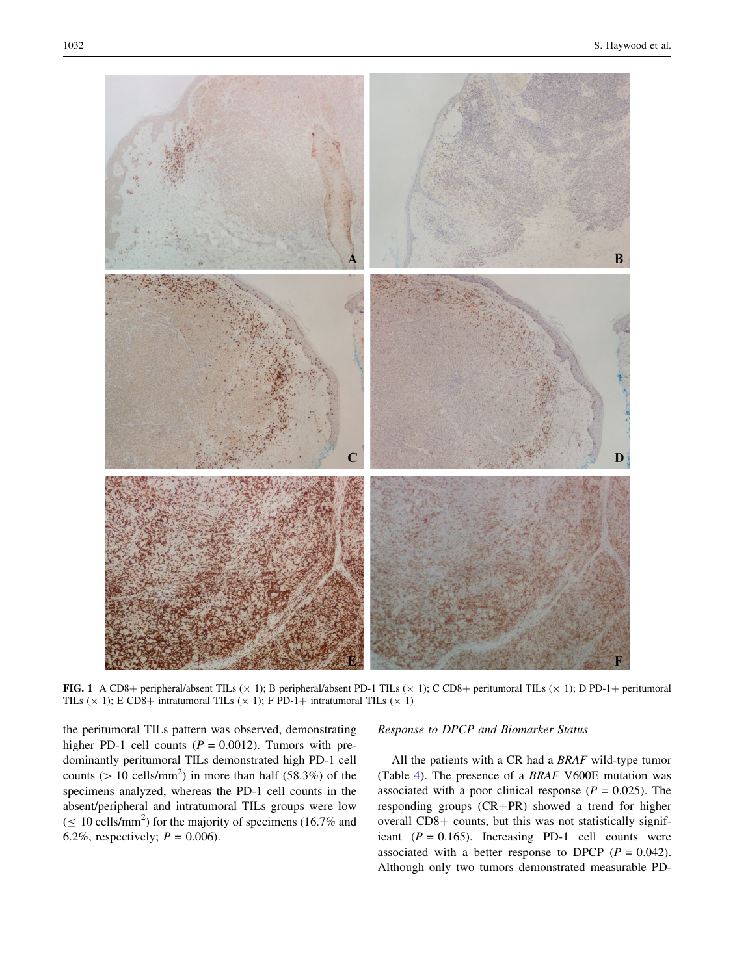<span id="page-3-0"></span>

FIG. 1 A CD8+ peripheral/absent TILs ( $\times$  1); B peripheral/absent PD-1 TILs ( $\times$  1); C CD8+ peritumoral TILs ( $\times$  1); D PD-1+ peritumoral TILs ( $\times$  1); E CD8+ intratumoral TILs ( $\times$  1); F PD-1+ intratumoral TILs ( $\times$  1)

the peritumoral TILs pattern was observed, demonstrating higher PD-1 cell counts ( $P = 0.0012$ ). Tumors with predominantly peritumoral TILs demonstrated high PD-1 cell counts ( $> 10$  cells/mm<sup>2</sup>) in more than half (58.3%) of the specimens analyzed, whereas the PD-1 cell counts in the absent/peripheral and intratumoral TILs groups were low  $( \leq 10 \text{ cells/mm}^2)$  for the majority of specimens (16.7% and 6.2%, respectively;  $P = 0.006$ .

## Response to DPCP and Biomarker Status

All the patients with a CR had a BRAF wild-type tumor (Table [4\)](#page-6-0). The presence of a BRAF V600E mutation was associated with a poor clinical response ( $P = 0.025$ ). The responding groups (CR+PR) showed a trend for higher overall CD8+ counts, but this was not statistically significant  $(P = 0.165)$ . Increasing PD-1 cell counts were associated with a better response to DPCP ( $P = 0.042$ ). Although only two tumors demonstrated measurable PD-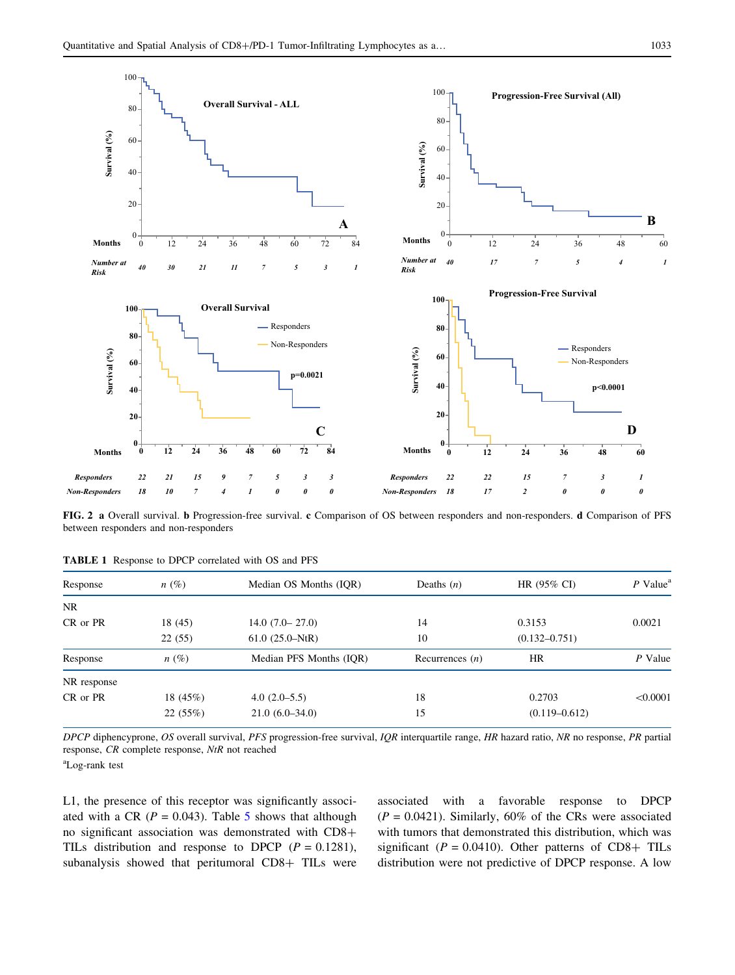<span id="page-4-0"></span>

FIG. 2 a Overall survival. b Progression-free survival. c Comparison of OS between responders and non-responders. d Comparison of PFS between responders and non-responders

| Response    | $n(\%)$    | Median OS Months (IOR)  | Deaths $(n)$      | HR (95% CI)       | $P$ Value <sup>a</sup> |
|-------------|------------|-------------------------|-------------------|-------------------|------------------------|
| NR.         |            |                         |                   |                   |                        |
| CR or PR    | 18(45)     | $14.0(7.0 - 27.0)$      | 14                | 0.3153            | 0.0021                 |
|             | 22(55)     | $61.0(25.0-NtR)$        | 10                | $(0.132 - 0.751)$ |                        |
| Response    | $n(\%)$    | Median PFS Months (IOR) | Recurrences $(n)$ | <b>HR</b>         | P Value                |
| NR response |            |                         |                   |                   |                        |
| CR or PR    | 18 $(45%)$ | $4.0(2.0-5.5)$          | 18                | 0.2703            | < 0.0001               |
|             | 22(55%)    | $21.0(6.0-34.0)$        | 15                | $(0.119 - 0.612)$ |                        |
|             |            |                         |                   |                   |                        |

TABLE 1 Response to DPCP correlated with OS and PFS

DPCP diphencyprone, OS overall survival, PFS progression-free survival, IQR interquartile range, HR hazard ratio, NR no response, PR partial response, CR complete response, NtR not reached

a Log-rank test

L1, the presence of this receptor was significantly associated with a CR ( $P = 0.043$ ). Table [5](#page-7-0) shows that although no significant association was demonstrated with  $CD8+$ TILs distribution and response to DPCP  $(P = 0.1281)$ , subanalysis showed that peritumoral CD8+ TILs were associated with a favorable response to DPCP  $(P = 0.0421)$ . Similarly, 60% of the CRs were associated with tumors that demonstrated this distribution, which was significant ( $P = 0.0410$ ). Other patterns of CD8+ TILs distribution were not predictive of DPCP response. A low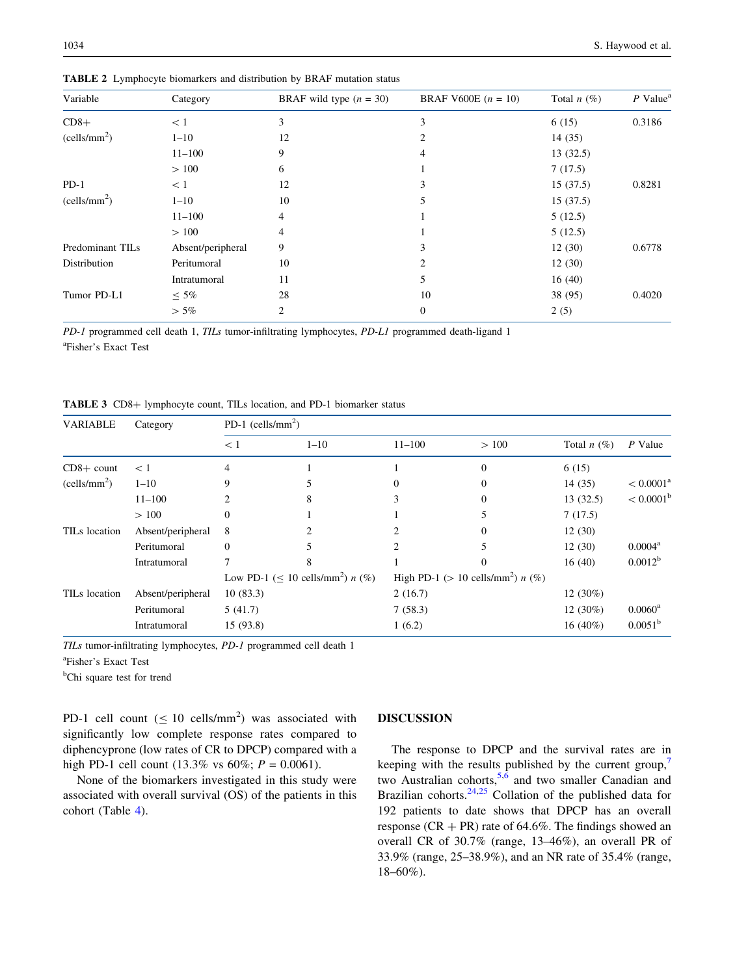| Variable                 | Category          | BRAF wild type $(n = 30)$ | <b>BRAF V600E</b> $(n = 10)$ | Total $n(\%)$ | $P$ Value <sup>a</sup> |
|--------------------------|-------------------|---------------------------|------------------------------|---------------|------------------------|
| $CD8+$                   | < 1               | 3                         | 3                            | 6(15)         | 0.3186                 |
| (cells/mm <sup>2</sup> ) | $1 - 10$          | 12                        | 2                            | 14(35)        |                        |
|                          | $11 - 100$        | 9                         | 4                            | 13(32.5)      |                        |
|                          | >100              | 6                         |                              | 7(17.5)       |                        |
| $PD-1$                   | < 1               | 12                        | 3                            | 15(37.5)      | 0.8281                 |
| (cells/mm <sup>2</sup> ) | $1 - 10$          | 10                        | 5                            | 15(37.5)      |                        |
|                          | $11 - 100$        | 4                         |                              | 5(12.5)       |                        |
|                          | >100              | 4                         |                              | 5(12.5)       |                        |
| Predominant TILs         | Absent/peripheral | 9                         | 3                            | 12(30)        | 0.6778                 |
| Distribution             | Peritumoral       | 10                        | 2                            | 12(30)        |                        |
|                          | Intratumoral      | 11                        | 5                            | 16(40)        |                        |
| Tumor PD-L1              | $\leq 5\%$        | 28                        | 10                           | 38 (95)       | 0.4020                 |
|                          | $>$ 5%            | 2                         | 0                            | 2(5)          |                        |

<span id="page-5-0"></span>TABLE 2 Lymphocyte biomarkers and distribution by BRAF mutation status

PD-1 programmed cell death 1, TILs tumor-infiltrating lymphocytes, PD-L1 programmed death-ligand 1 a Fisher's Exact Test

TABLE 3 CD8+ lymphocyte count, TILs location, and PD-1 biomarker status

| <b>VARIABLE</b>           | Category          | PD-1 (cells/mm <sup>2</sup> )                      |          |                                                 |              |               |                    |  |  |
|---------------------------|-------------------|----------------------------------------------------|----------|-------------------------------------------------|--------------|---------------|--------------------|--|--|
|                           |                   | < 1                                                | $1 - 10$ | $11 - 100$                                      | >100         | Total $n(\%)$ | P Value            |  |  |
| $CD8+$ count              | $\leq 1$          | 4                                                  |          |                                                 | $\mathbf{0}$ | 6(15)         |                    |  |  |
| (cells/mm <sup>2</sup> )  | $1 - 10$          | 9                                                  |          | $\Omega$                                        | 0            | 14(35)        | $< 0.0001^{\rm a}$ |  |  |
|                           | $11 - 100$        |                                                    | 8        | 3                                               | $\Omega$     | 13(32.5)      | $< 0.0001^{\rm b}$ |  |  |
|                           | >100              | 0                                                  |          |                                                 |              | 7(17.5)       |                    |  |  |
| TIL <sub>s</sub> location | Absent/peripheral | 8                                                  |          | 2                                               | 0            | 12(30)        |                    |  |  |
|                           | Peritumoral       | $\Omega$                                           |          | 2                                               |              | 12(30)        | $0.0004^a$         |  |  |
|                           | Intratumoral      |                                                    | 8        |                                                 | 0            | 16(40)        | $0.0012^b$         |  |  |
|                           |                   | Low PD-1 ( $\leq$ 10 cells/mm <sup>2</sup> ) n (%) |          | High PD-1 (> 10 cells/mm <sup>2</sup> ) $n$ (%) |              |               |                    |  |  |
| TIL <sub>s</sub> location | Absent/peripheral | 10(83.3)                                           |          | 2(16.7)                                         |              | 12 $(30\%)$   |                    |  |  |
|                           | Peritumoral       | 5(41.7)                                            |          | 7(58.3)                                         |              | 12 $(30\%)$   | $0.0060^{\rm a}$   |  |  |
|                           | Intratumoral      | 15 (93.8)                                          |          | 1(6.2)                                          |              | $16(40\%)$    | $0.0051^{b}$       |  |  |

TILs tumor-infiltrating lymphocytes, PD-1 programmed cell death 1

a Fisher's Exact Test

<sup>b</sup>Chi square test for trend

PD-1 cell count ( $\leq 10$  cells/mm<sup>2</sup>) was associated with significantly low complete response rates compared to diphencyprone (low rates of CR to DPCP) compared with a high PD-1 cell count  $(13.3\% \text{ vs } 60\%; P = 0.0061)$ .

None of the biomarkers investigated in this study were associated with overall survival (OS) of the patients in this cohort (Table [4](#page-6-0)).

# DISCUSSION

The response to DPCP and the survival rates are in keeping with the results published by the current group, $\frac{7}{2}$  $\frac{7}{2}$  $\frac{7}{2}$ two Australian cohorts,  $5,6$  and two smaller Canadian and Brazilian cohorts. $24,25$  Collation of the published data for 192 patients to date shows that DPCP has an overall response ( $CR + PR$ ) rate of 64.6%. The findings showed an overall CR of 30.7% (range, 13–46%), an overall PR of 33.9% (range, 25–38.9%), and an NR rate of 35.4% (range, 18–60%).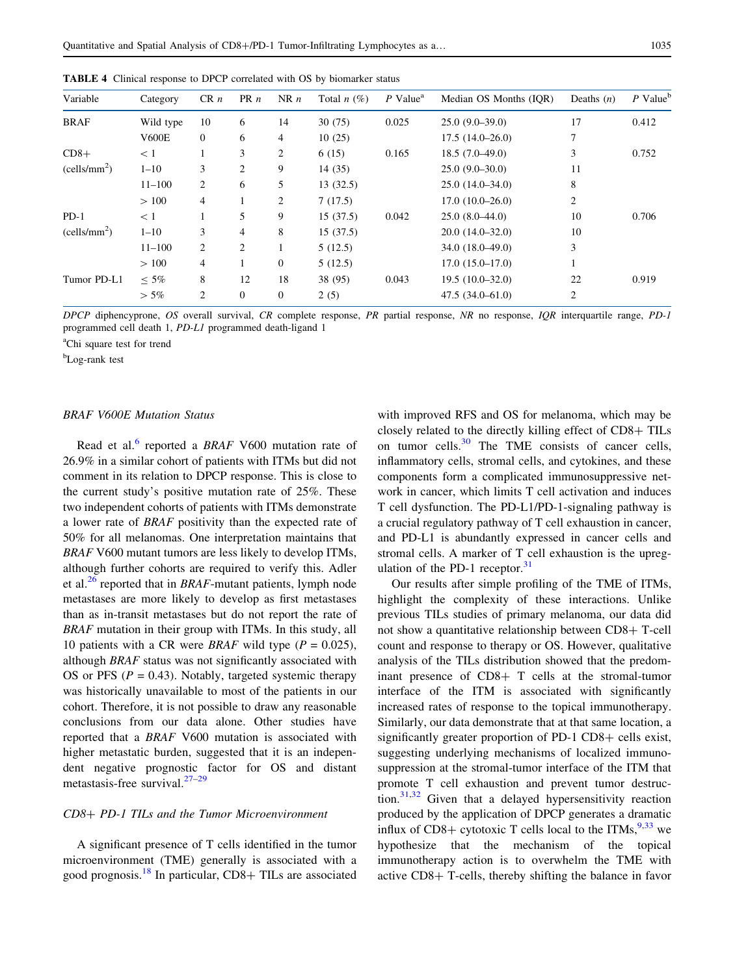| Variable                 | Category     | CR n           | PR n | NR n           | Total $n(\%)$ | $P$ Value <sup>a</sup> | Median OS Months (IOR) | Deaths $(n)$ | $P$ Value <sup>b</sup> |
|--------------------------|--------------|----------------|------|----------------|---------------|------------------------|------------------------|--------------|------------------------|
| <b>BRAF</b>              | Wild type    | 10             | 6    | 14             | 30(75)        | 0.025                  | $25.0(9.0-39.0)$       | 17           | 0.412                  |
|                          | <b>V600E</b> | $\overline{0}$ | 6    | 4              | 10(25)        |                        | $17.5(14.0-26.0)$      | 7            |                        |
| $CD8+$                   | $\leq 1$     |                | 3    | 2              | 6(15)         | 0.165                  | $18.5(7.0-49.0)$       | 3            | 0.752                  |
| (cells/mm <sup>2</sup> ) | $1 - 10$     | 3              | 2    | 9              | 14(35)        |                        | $25.0(9.0-30.0)$       | 11           |                        |
|                          | $11 - 100$   | 2              | 6    | 5              | 13(32.5)      |                        | $25.0(14.0-34.0)$      | 8            |                        |
|                          | >100         | $\overline{4}$ |      | 2              | 7(17.5)       |                        | $17.0(10.0-26.0)$      | 2            |                        |
| $PD-1$                   | < 1          |                | 5    | 9              | 15(37.5)      | 0.042                  | $25.0(8.0-44.0)$       | 10           | 0.706                  |
| (cells/mm <sup>2</sup> ) | $1 - 10$     | 3              | 4    | 8              | 15(37.5)      |                        | $20.0(14.0-32.0)$      | 10           |                        |
|                          | $11 - 100$   | 2              | 2    |                | 5(12.5)       |                        | $34.0(18.0-49.0)$      | 3            |                        |
|                          | >100         | $\overline{4}$ |      | $\theta$       | 5(12.5)       |                        | $17.0(15.0-17.0)$      |              |                        |
| Tumor PD-L1              | $\leq 5\%$   | 8              | 12   | 18             | 38 (95)       | 0.043                  | $19.5(10.0-32.0)$      | 22           | 0.919                  |
|                          | $>$ 5%       | $\overline{2}$ | 0    | $\overline{0}$ | 2(5)          |                        | $47.5(34.0 - 61.0)$    | 2            |                        |
|                          |              |                |      |                |               |                        |                        |              |                        |

<span id="page-6-0"></span>TABLE 4 Clinical response to DPCP correlated with OS by biomarker status

DPCP diphencyprone, OS overall survival, CR complete response, PR partial response, NR no response, IQR interquartile range, PD-1 programmed cell death 1, PD-L1 programmed death-ligand 1

<sup>a</sup>Chi square test for trend

b Log-rank test

#### BRAF V600E Mutation Status

Read et al.<sup>[6](#page-8-0)</sup> reported a BRAF V600 mutation rate of 26.9% in a similar cohort of patients with ITMs but did not comment in its relation to DPCP response. This is close to the current study's positive mutation rate of 25%. These two independent cohorts of patients with ITMs demonstrate a lower rate of BRAF positivity than the expected rate of 50% for all melanomas. One interpretation maintains that BRAF V600 mutant tumors are less likely to develop ITMs, although further cohorts are required to verify this. Adler et al. $^{26}$  $^{26}$  $^{26}$  reported that in BRAF-mutant patients, lymph node metastases are more likely to develop as first metastases than as in-transit metastases but do not report the rate of BRAF mutation in their group with ITMs. In this study, all 10 patients with a CR were *BRAF* wild type  $(P = 0.025)$ , although BRAF status was not significantly associated with OS or PFS ( $P = 0.43$ ). Notably, targeted systemic therapy was historically unavailable to most of the patients in our cohort. Therefore, it is not possible to draw any reasonable conclusions from our data alone. Other studies have reported that a BRAF V600 mutation is associated with higher metastatic burden, suggested that it is an independent negative prognostic factor for OS and distant metastasis-free survival. $27-29$ 

# CD8? PD-1 TILs and the Tumor Microenvironment

A significant presence of T cells identified in the tumor microenvironment (TME) generally is associated with a good prognosis.<sup>[18](#page-8-0)</sup> In particular, CD8+ TILs are associated

with improved RFS and OS for melanoma, which may be closely related to the directly killing effect of  $CD8 + TILs$ on tumor cells. $30$  The TME consists of cancer cells, inflammatory cells, stromal cells, and cytokines, and these components form a complicated immunosuppressive network in cancer, which limits T cell activation and induces T cell dysfunction. The PD-L1/PD-1-signaling pathway is a crucial regulatory pathway of T cell exhaustion in cancer, and PD-L1 is abundantly expressed in cancer cells and stromal cells. A marker of T cell exhaustion is the upregulation of the PD-1 receptor. $31$ 

Our results after simple profiling of the TME of ITMs, highlight the complexity of these interactions. Unlike previous TILs studies of primary melanoma, our data did not show a quantitative relationship between  $CD8 + T$ -cell count and response to therapy or OS. However, qualitative analysis of the TILs distribution showed that the predominant presence of  $CD8+T$  cells at the stromal-tumor interface of the ITM is associated with significantly increased rates of response to the topical immunotherapy. Similarly, our data demonstrate that at that same location, a significantly greater proportion of PD-1 CD8+ cells exist, suggesting underlying mechanisms of localized immunosuppression at the stromal-tumor interface of the ITM that promote T cell exhaustion and prevent tumor destruction. $31,32$  Given that a delayed hypersensitivity reaction produced by the application of DPCP generates a dramatic influx of CD8+ cytotoxic T cells local to the ITMs,  $9,33$  $9,33$  we hypothesize that the mechanism of the topical immunotherapy action is to overwhelm the TME with active  $CD8+$  T-cells, thereby shifting the balance in favor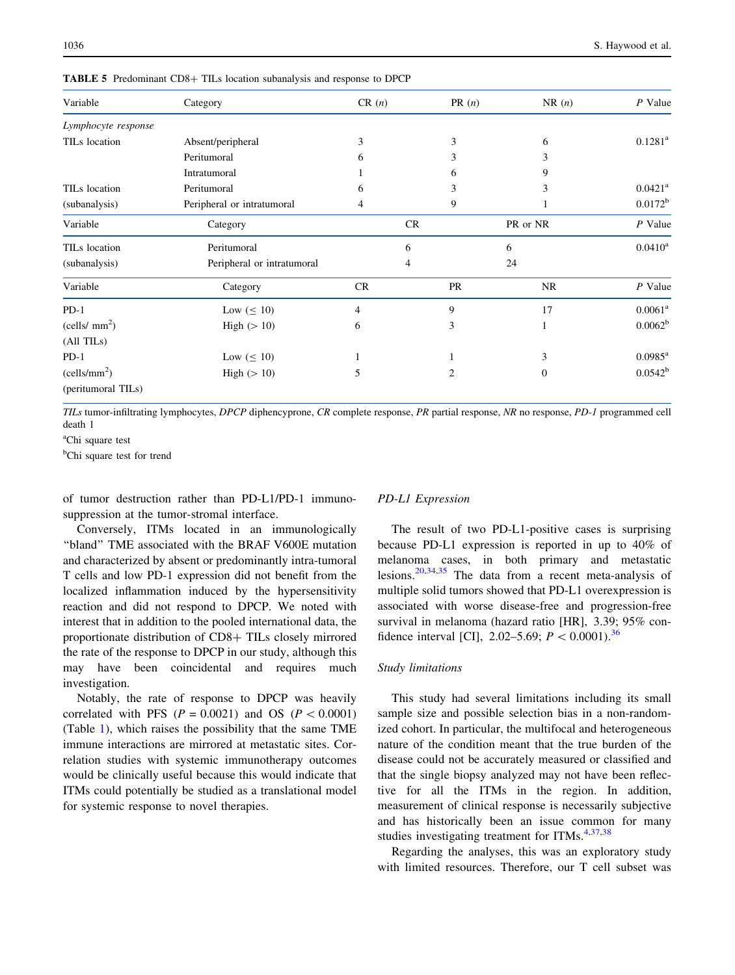| Variable                                    | Category                   | CR(n) | PR(n) | NR(n)     | $P$ Value             |
|---------------------------------------------|----------------------------|-------|-------|-----------|-----------------------|
| Lymphocyte response                         |                            |       |       |           |                       |
| TILs location                               | Absent/peripheral          | 3     | 3     | 6         | $0.1281^a$            |
|                                             | Peritumoral                | 6     | 3     | 3         |                       |
|                                             | Intratumoral               |       | 6     | 9         |                       |
| TIL <sub>s</sub> location                   | Peritumoral                | 6     | 3     | 3         | $0.0421$ <sup>a</sup> |
| (subanalysis)                               | Peripheral or intratumoral | 4     | 9     |           | $0.0172^b$            |
| Variable                                    | Category                   |       | CR    | PR or NR  | $P$ Value             |
| TILs location                               | Peritumoral                |       | 6     | 6         | $0.0410^a$            |
| Peripheral or intratumoral<br>(subanalysis) |                            |       | 4     | 24        |                       |
| Variable                                    | Category                   | CR    | PR    | <b>NR</b> | $P$ Value             |
| $PD-1$                                      | Low $(\leq 10)$            | 4     | 9     | 17        | $0.0061^a$            |
| (cells/mm <sup>2</sup> )                    | High $(>10)$               | 6     | 3     |           | $0.0062^b$            |
| $(All$ TIL <sub>s</sub> $)$                 |                            |       |       |           |                       |
| $PD-1$                                      | Low $(\leq 10)$            |       |       | 3         | $0.0985^{\rm a}$      |
| (cells/mm <sup>2</sup> )<br>High $(>10)$    |                            | 5     | 2     | 0         | $0.0542^{b}$          |
| (peritumoral TILs)                          |                            |       |       |           |                       |

<span id="page-7-0"></span>TABLE 5 Predominant CD8+ TILs location subanalysis and response to DPCP

TILs tumor-infiltrating lymphocytes, DPCP diphencyprone, CR complete response, PR partial response, NR no response, PD-1 programmed cell death 1

<sup>a</sup>Chi square test

<sup>b</sup>Chi square test for trend

of tumor destruction rather than PD-L1/PD-1 immunosuppression at the tumor-stromal interface.

Conversely, ITMs located in an immunologically ''bland'' TME associated with the BRAF V600E mutation and characterized by absent or predominantly intra-tumoral T cells and low PD-1 expression did not benefit from the localized inflammation induced by the hypersensitivity reaction and did not respond to DPCP. We noted with interest that in addition to the pooled international data, the proportionate distribution of CD8+ TILs closely mirrored the rate of the response to DPCP in our study, although this may have been coincidental and requires much investigation.

Notably, the rate of response to DPCP was heavily correlated with PFS  $(P = 0.0021)$  and OS  $(P < 0.0001)$ (Table [1](#page-4-0)), which raises the possibility that the same TME immune interactions are mirrored at metastatic sites. Correlation studies with systemic immunotherapy outcomes would be clinically useful because this would indicate that ITMs could potentially be studied as a translational model for systemic response to novel therapies.

#### PD-L1 Expression

The result of two PD-L1-positive cases is surprising because PD-L1 expression is reported in up to 40% of melanoma cases, in both primary and metastatic lesions.[20,](#page-8-0)[34,35](#page-9-0) The data from a recent meta-analysis of multiple solid tumors showed that PD-L1 overexpression is associated with worse disease-free and progression-free survival in melanoma (hazard ratio [HR], 3.39; 95% confidence interval [CI], 2.02–5.69;  $P < 0.0001$ .<sup>[36](#page-9-0)</sup>

#### Study limitations

This study had several limitations including its small sample size and possible selection bias in a non-randomized cohort. In particular, the multifocal and heterogeneous nature of the condition meant that the true burden of the disease could not be accurately measured or classified and that the single biopsy analyzed may not have been reflective for all the ITMs in the region. In addition, measurement of clinical response is necessarily subjective and has historically been an issue common for many studies investigating treatment for ITMs. $4,37,38$  $4,37,38$ 

Regarding the analyses, this was an exploratory study with limited resources. Therefore, our T cell subset was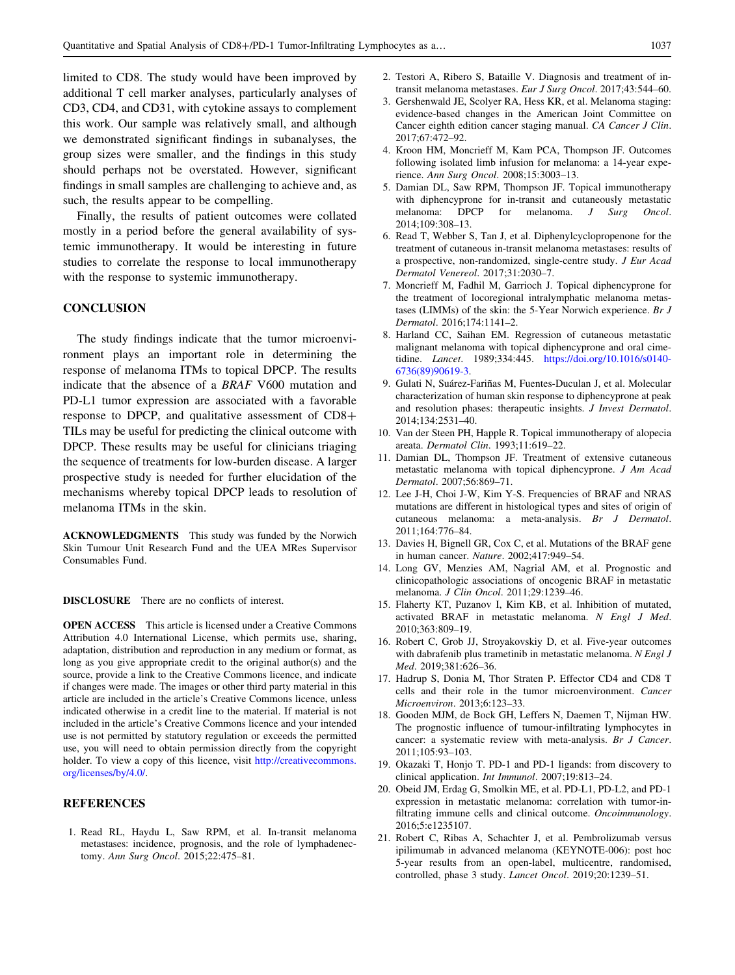<span id="page-8-0"></span>limited to CD8. The study would have been improved by additional T cell marker analyses, particularly analyses of CD3, CD4, and CD31, with cytokine assays to complement this work. Our sample was relatively small, and although we demonstrated significant findings in subanalyses, the group sizes were smaller, and the findings in this study should perhaps not be overstated. However, significant findings in small samples are challenging to achieve and, as such, the results appear to be compelling.

Finally, the results of patient outcomes were collated mostly in a period before the general availability of systemic immunotherapy. It would be interesting in future studies to correlate the response to local immunotherapy with the response to systemic immunotherapy.

## **CONCLUSION**

The study findings indicate that the tumor microenvironment plays an important role in determining the response of melanoma ITMs to topical DPCP. The results indicate that the absence of a BRAF V600 mutation and PD-L1 tumor expression are associated with a favorable response to DPCP, and qualitative assessment of  $CD8+$ TILs may be useful for predicting the clinical outcome with DPCP. These results may be useful for clinicians triaging the sequence of treatments for low-burden disease. A larger prospective study is needed for further elucidation of the mechanisms whereby topical DPCP leads to resolution of melanoma ITMs in the skin.

ACKNOWLEDGMENTS This study was funded by the Norwich Skin Tumour Unit Research Fund and the UEA MRes Supervisor Consumables Fund.

DISCLOSURE There are no conflicts of interest.

OPEN ACCESS This article is licensed under a Creative Commons Attribution 4.0 International License, which permits use, sharing, adaptation, distribution and reproduction in any medium or format, as long as you give appropriate credit to the original author(s) and the source, provide a link to the Creative Commons licence, and indicate if changes were made. The images or other third party material in this article are included in the article's Creative Commons licence, unless indicated otherwise in a credit line to the material. If material is not included in the article's Creative Commons licence and your intended use is not permitted by statutory regulation or exceeds the permitted use, you will need to obtain permission directly from the copyright holder. To view a copy of this licence, visit [http://creativecommons.](http://creativecommons.org/licenses/by/4.0/) [org/licenses/by/4.0/.](http://creativecommons.org/licenses/by/4.0/)

## **REFERENCES**

1. Read RL, Haydu L, Saw RPM, et al. In-transit melanoma metastases: incidence, prognosis, and the role of lymphadenectomy. Ann Surg Oncol. 2015;22:475–81.

- 2. Testori A, Ribero S, Bataille V. Diagnosis and treatment of intransit melanoma metastases. Eur J Surg Oncol. 2017;43:544–60.
- 3. Gershenwald JE, Scolyer RA, Hess KR, et al. Melanoma staging: evidence-based changes in the American Joint Committee on Cancer eighth edition cancer staging manual. CA Cancer J Clin. 2017;67:472–92.
- 4. Kroon HM, Moncrieff M, Kam PCA, Thompson JF. Outcomes following isolated limb infusion for melanoma: a 14-year experience. Ann Surg Oncol. 2008;15:3003–13.
- 5. Damian DL, Saw RPM, Thompson JF. Topical immunotherapy with diphencyprone for in-transit and cutaneously metastatic melanoma: DPCP for melanoma. J Surg Oncol. 2014;109:308–13.
- 6. Read T, Webber S, Tan J, et al. Diphenylcyclopropenone for the treatment of cutaneous in-transit melanoma metastases: results of a prospective, non-randomized, single-centre study. J Eur Acad Dermatol Venereol. 2017;31:2030–7.
- 7. Moncrieff M, Fadhil M, Garrioch J. Topical diphencyprone for the treatment of locoregional intralymphatic melanoma metastases (LIMMs) of the skin: the 5-Year Norwich experience. Br J Dermatol. 2016;174:1141–2.
- 8. Harland CC, Saihan EM. Regression of cutaneous metastatic malignant melanoma with topical diphencyprone and oral cimetidine. Lancet. 1989;334:445. [https://doi.org/10.1016/s0140-](https://doi.org/10.1016/s0140-6736(89)90619-3) [6736\(89\)90619-3](https://doi.org/10.1016/s0140-6736(89)90619-3).
- 9. Gulati N, Suárez-Fariñas M, Fuentes-Duculan J, et al. Molecular characterization of human skin response to diphencyprone at peak and resolution phases: therapeutic insights. J Invest Dermatol. 2014;134:2531–40.
- 10. Van der Steen PH, Happle R. Topical immunotherapy of alopecia areata. Dermatol Clin. 1993;11:619–22.
- 11. Damian DL, Thompson JF. Treatment of extensive cutaneous metastatic melanoma with topical diphencyprone. J Am Acad Dermatol. 2007;56:869–71.
- 12. Lee J-H, Choi J-W, Kim Y-S. Frequencies of BRAF and NRAS mutations are different in histological types and sites of origin of cutaneous melanoma: a meta-analysis. Br J Dermatol. 2011;164:776–84.
- 13. Davies H, Bignell GR, Cox C, et al. Mutations of the BRAF gene in human cancer. Nature. 2002;417:949–54.
- 14. Long GV, Menzies AM, Nagrial AM, et al. Prognostic and clinicopathologic associations of oncogenic BRAF in metastatic melanoma. J Clin Oncol. 2011;29:1239–46.
- 15. Flaherty KT, Puzanov I, Kim KB, et al. Inhibition of mutated, activated BRAF in metastatic melanoma. N Engl J Med. 2010;363:809–19.
- 16. Robert C, Grob JJ, Stroyakovskiy D, et al. Five-year outcomes with dabrafenib plus trametinib in metastatic melanoma. N Engl J Med. 2019;381:626–36.
- 17. Hadrup S, Donia M, Thor Straten P. Effector CD4 and CD8 T cells and their role in the tumor microenvironment. Cancer Microenviron. 2013;6:123–33.
- 18. Gooden MJM, de Bock GH, Leffers N, Daemen T, Nijman HW. The prognostic influence of tumour-infiltrating lymphocytes in cancer: a systematic review with meta-analysis. Br J Cancer. 2011;105:93–103.
- 19. Okazaki T, Honjo T. PD-1 and PD-1 ligands: from discovery to clinical application. Int Immunol. 2007;19:813–24.
- 20. Obeid JM, Erdag G, Smolkin ME, et al. PD-L1, PD-L2, and PD-1 expression in metastatic melanoma: correlation with tumor-infiltrating immune cells and clinical outcome. Oncoimmunology. 2016;5:e1235107.
- 21. Robert C, Ribas A, Schachter J, et al. Pembrolizumab versus ipilimumab in advanced melanoma (KEYNOTE-006): post hoc 5-year results from an open-label, multicentre, randomised, controlled, phase 3 study. Lancet Oncol. 2019;20:1239–51.